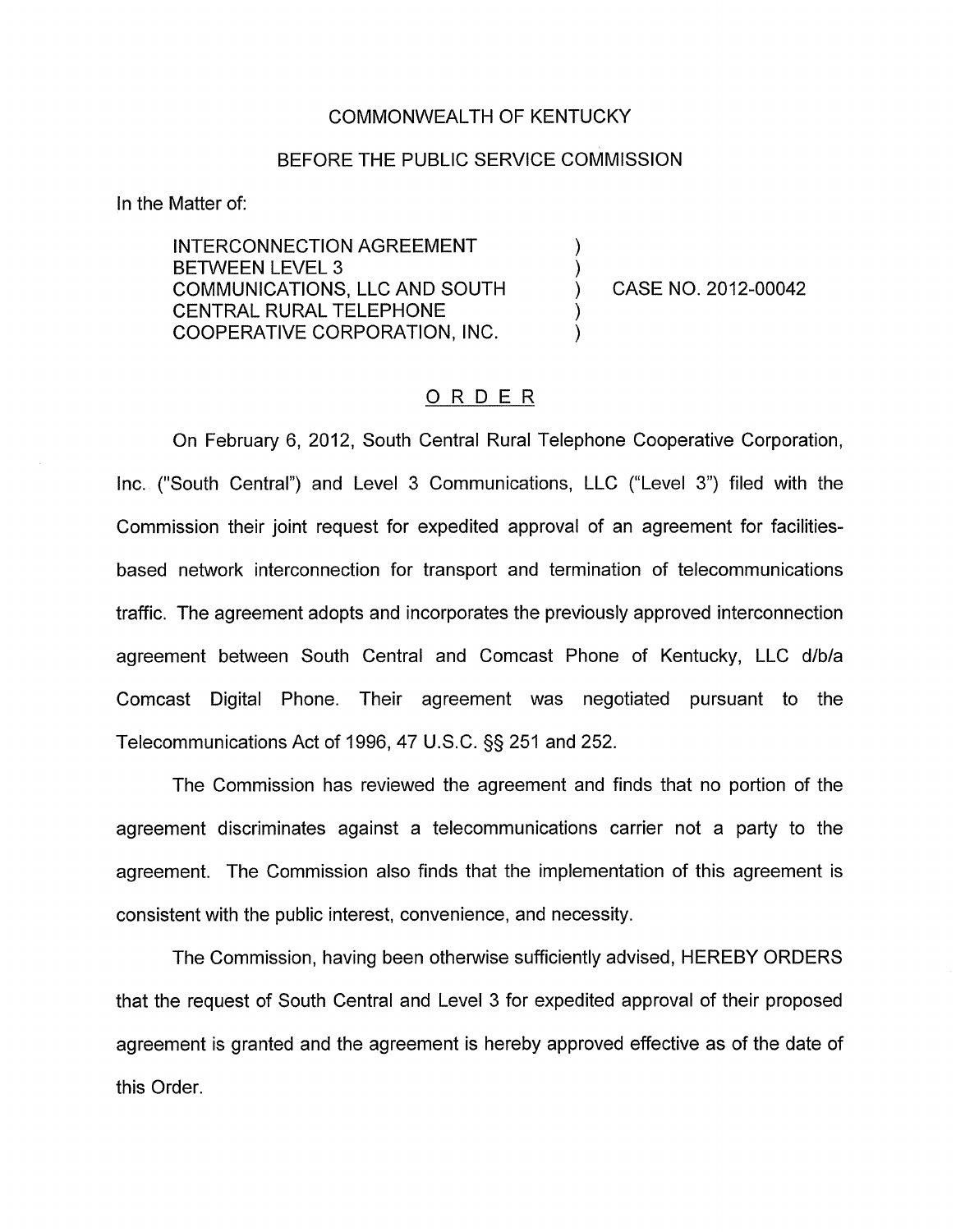## COMMONWEALTH OF KENTUCKY

## BEFORE THE PUBLIC SERVICE COMMISSION

In the Matter of:

INTERCONNECTION AGREEMENT<br>BETWEEN LEVEL 3 COMMUNICATIONS, LLC AND SOUTH ) CASE NO. 2012-00042 CENTRAL RURAL TELEPHONE COOPERATIVE CORPORATION, INC.

## ORDER

On February 6, 2012, South Central Rural Telephone Cooperative Corporation, Inc. ("South Central") and Level 3 Communications, LLC ("Level **3")** filed with the Commission their joint request for expedited approval of an agreement for facilitiesbased network interconnection for transport and termination of telecommunications traffic. The agreement adopts and incorporates the previously approved interconnection agreement between South Central and Comcast Phone of Kentucky, LLC d/b/a Comcast Digital Phone. Their agreement was negotiated pursuant to the Telecommunications Act of 1996,47 U.S.C. §§ 251 and 252.

The Commission has reviewed the agreement and finds that no portion of the agreement discriminates against a telecommunications carrier not a party to the agreement. The Commission also finds that the implementation of this agreement is consistent with the public interest, convenience, and necessity.

The Commission, having been otherwise sufficiently advised, HEREBY ORDERS that the request of South Central and Level 3 for expedited approval of their proposed agreement is granted and the agreement is hereby approved effective as of the date of this Order.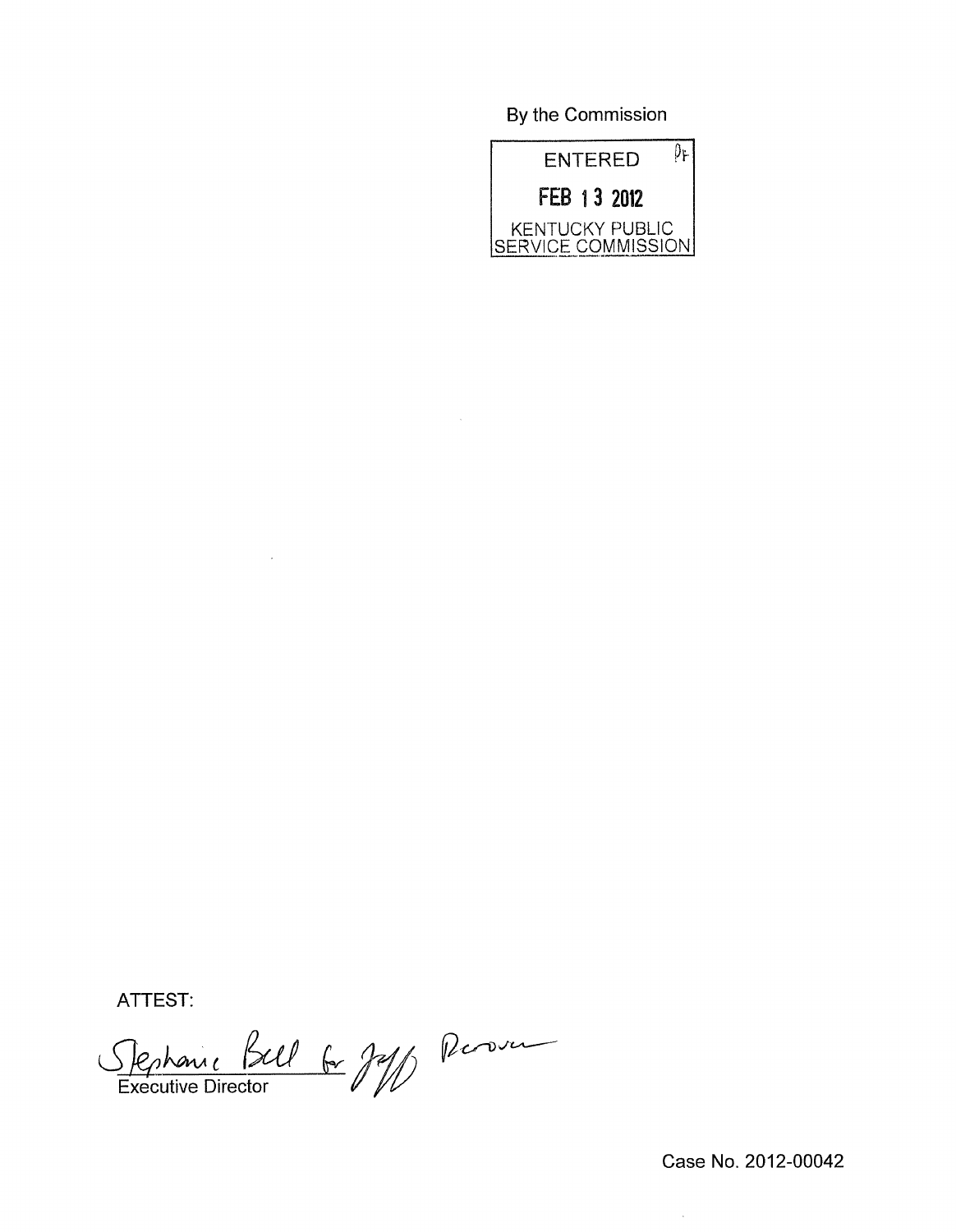By the Commission



ATTEST:

 $\overline{\mathscr{A}}$  fraction  $\overline{\mathscr{V}}$ Executive Director

 $\bar{z}$ 

Case No. 2012-00042

 $\hat{\mathcal{A}}$